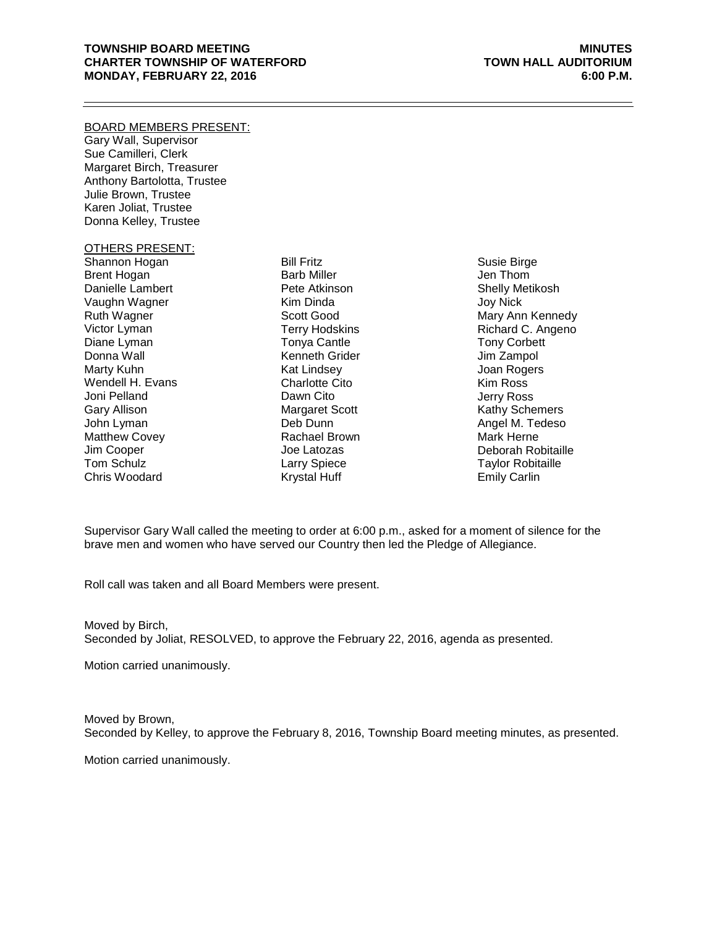### **TOWNSHIP BOARD MEETING MINUTES CHARTER TOWNSHIP OF WATERFORD TOWN HALL AUDITORIUM MONDAY, FEBRUARY 22, 2016 6:00 P.M.**

#### BOARD MEMBERS PRESENT:

Gary Wall, Supervisor Sue Camilleri, Clerk Margaret Birch, Treasurer Anthony Bartolotta, Trustee Julie Brown, Trustee Karen Joliat, Trustee Donna Kelley, Trustee

## OTHERS PRESENT:

Shannon Hogan Brent Hogan Danielle Lambert Vaughn Wagner Ruth Wagner Victor Lyman Diane Lyman Donna Wall Marty Kuhn Wendell H. Evans Joni Pelland Gary Allison John Lyman Matthew Covey Jim Cooper Tom Schulz Chris Woodard

Bill Fritz Barb Miller Pete Atkinson Kim Dinda Scott Good Terry Hodskins Tonya Cantle Kenneth Grider Kat Lindsey Charlotte Cito Dawn Cito Margaret Scott Deb Dunn Rachael Brown Joe Latozas Larry Spiece Krystal Huff

Susie Birge Jen Thom Shelly Metikosh Joy Nick Mary Ann Kennedy Richard C. Angeno Tony Corbett Jim Zampol Joan Rogers Kim Ross Jerry Ross Kathy Schemers Angel M. Tedeso Mark Herne Deborah Robitaille Taylor Robitaille Emily Carlin

Supervisor Gary Wall called the meeting to order at 6:00 p.m., asked for a moment of silence for the brave men and women who have served our Country then led the Pledge of Allegiance.

Roll call was taken and all Board Members were present.

Moved by Birch, Seconded by Joliat, RESOLVED, to approve the February 22, 2016, agenda as presented.

Motion carried unanimously.

Moved by Brown, Seconded by Kelley, to approve the February 8, 2016, Township Board meeting minutes, as presented.

Motion carried unanimously.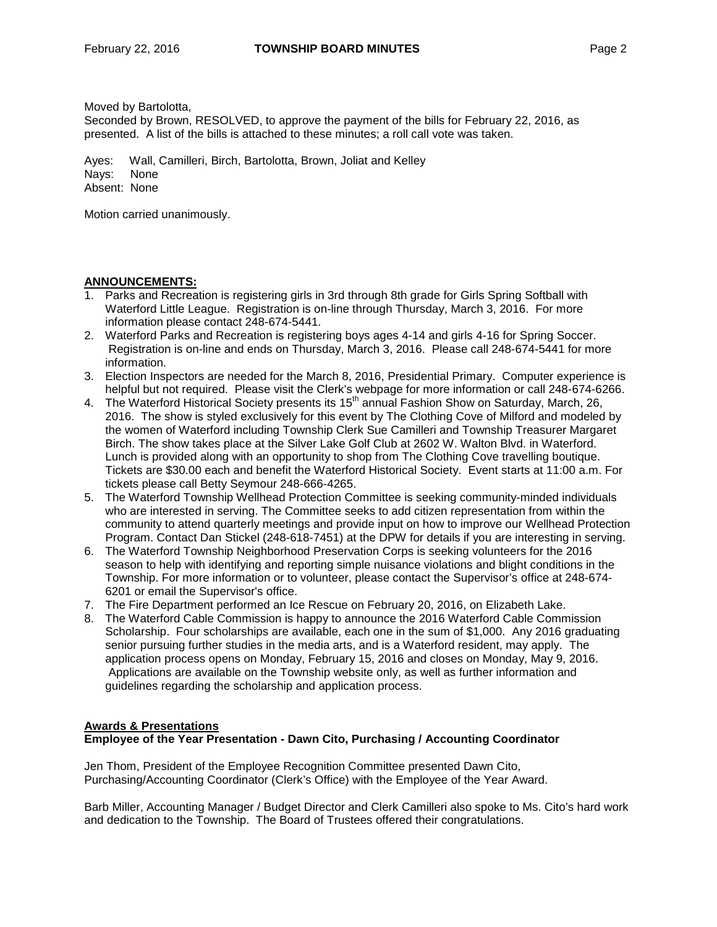Moved by Bartolotta,

Seconded by Brown, RESOLVED, to approve the payment of the bills for February 22, 2016, as presented. A list of the bills is attached to these minutes; a roll call vote was taken.

Ayes: Wall, Camilleri, Birch, Bartolotta, Brown, Joliat and Kelley Nays: None Absent: None

Motion carried unanimously.

## **ANNOUNCEMENTS:**

- 1. Parks and Recreation is registering girls in 3rd through 8th grade for Girls Spring Softball with Waterford Little League. Registration is [on-line](http://waterfordmi.gov/224/Parks-Recreation) through Thursday, March 3, 2016. For more information please contact 248-674-5441.
- 2. Waterford Parks and Recreation is registering boys ages 4-14 and girls 4-16 for Spring Soccer. Registration is [on-line](http://waterfordmi.gov/224/Parks-Recreation) and ends on Thursday, March 3, 2016. Please call 248-674-5441 for more information.
- 3. Election Inspectors are needed for the March 8, 2016, Presidential Primary. Computer experience is helpful but not required. Please visit the Clerk's [webpage](http://waterfordmi.gov/159/Election-Information) for more information or call 248-674-6266.
- 4. The Waterford Historical Society presents its 15th annual Fashion Show on Saturday, March, 26, 2016. The show is styled exclusively for this event by The Clothing Cove of Milford and modeled by the women of Waterford including Township Clerk Sue Camilleri and Township Treasurer Margaret Birch. The show takes place at the Silver Lake Golf Club at 2602 W. Walton Blvd. in Waterford. Lunch is provided along with an opportunity to shop from The Clothing Cove travelling boutique. Tickets are \$30.00 each and benefit the Waterford Historical Society. Event starts at 11:00 a.m. For tickets please call Betty Seymour 248-666-4265.
- 5. The Waterford Township Wellhead Protection Committee is seeking community-minded individuals who are interested in serving. The Committee seeks to add citizen representation from within the community to attend quarterly meetings and provide input on how to improve our Wellhead Protection Program. Contact Dan Stickel (248-618-7451) at the DPW for details if you are interesting in serving.
- 6. The Waterford Township Neighborhood Preservation Corps is seeking volunteers for the 2016 season to help with identifying and reporting simple nuisance violations and blight conditions in the Township. For more information or to volunteer, please contact the Supervisor's office at 248-674- 6201 or [email](http://waterfordmi.gov/Admin/AgendaCenter/Item/Edit/gwall@waterfordmi.gov) the Supervisor's office.
- 7. The Fire Department performed an Ice Rescue on February 20, 2016, on Elizabeth Lake.
- 8. The Waterford Cable Commission is happy to announce the 2016 Waterford Cable Commission Scholarship. Four scholarships are available, each one in the sum of \$1,000. Any 2016 graduating senior pursuing further studies in the media arts, and is a Waterford resident, may apply. The application process opens on Monday, February 15, 2016 and closes on Monday, May 9, 2016. Applications are available on the Township website only, as well as further information and guidelines regarding the scholarship and application process.

### **Awards & Presentations Employee of the Year Presentation - Dawn Cito, Purchasing / Accounting Coordinator**

Jen Thom, President of the Employee Recognition Committee presented Dawn Cito, Purchasing/Accounting Coordinator (Clerk's Office) with the Employee of the Year Award.

Barb Miller, Accounting Manager / Budget Director and Clerk Camilleri also spoke to Ms. Cito's hard work and dedication to the Township. The Board of Trustees offered their congratulations.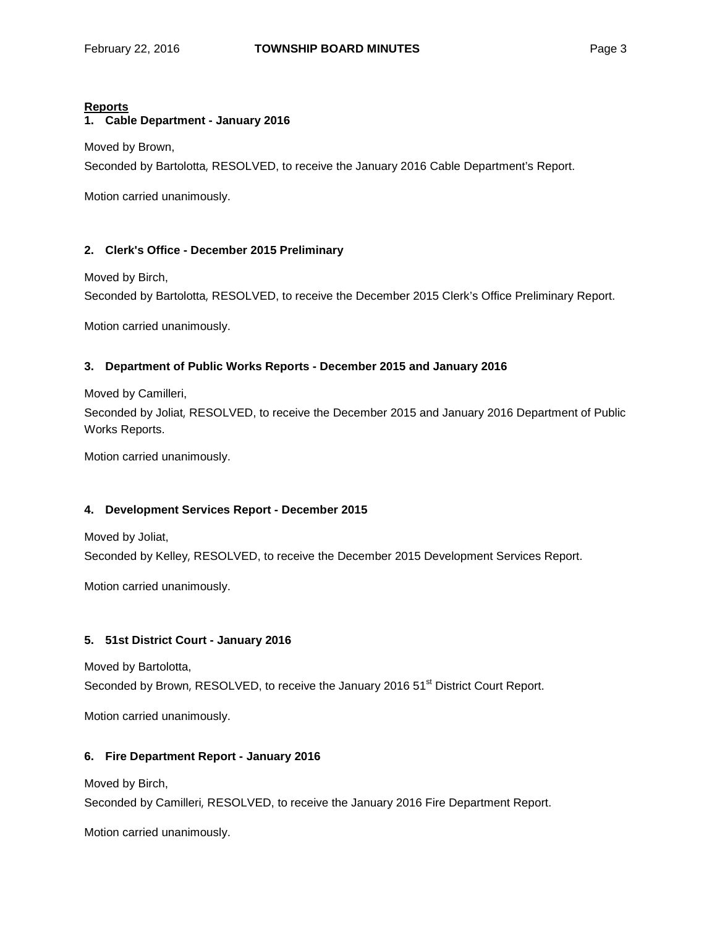## **Reports**

# **1. Cable Department - January 2016**

Moved by Brown,

Seconded by Bartolotta, RESOLVED, to receive the January 2016 Cable Department's Report.

Motion carried unanimously.

# **2. Clerk's Office - December 2015 Preliminary**

Moved by Birch,

Seconded by Bartolotta, RESOLVED, to receive the December 2015 Clerk's Office Preliminary Report.

Motion carried unanimously.

## **3. Department of Public Works Reports - December 2015 and January 2016**

Moved by Camilleri,

Seconded by Joliat, RESOLVED, to receive the December 2015 and January 2016 Department of Public Works Reports.

Motion carried unanimously.

# **4. Development Services Report - December 2015**

Moved by Joliat,

Seconded by Kelley, RESOLVED, to receive the December 2015 Development Services Report.

Motion carried unanimously.

# **5. 51st District Court - January 2016**

Moved by Bartolotta,

Seconded by Brown, RESOLVED, to receive the January 2016 51<sup>st</sup> District Court Report.

Motion carried unanimously.

# **6. Fire Department Report - January 2016**

Moved by Birch,

Seconded by Camilleri, RESOLVED, to receive the January 2016 Fire Department Report.

Motion carried unanimously.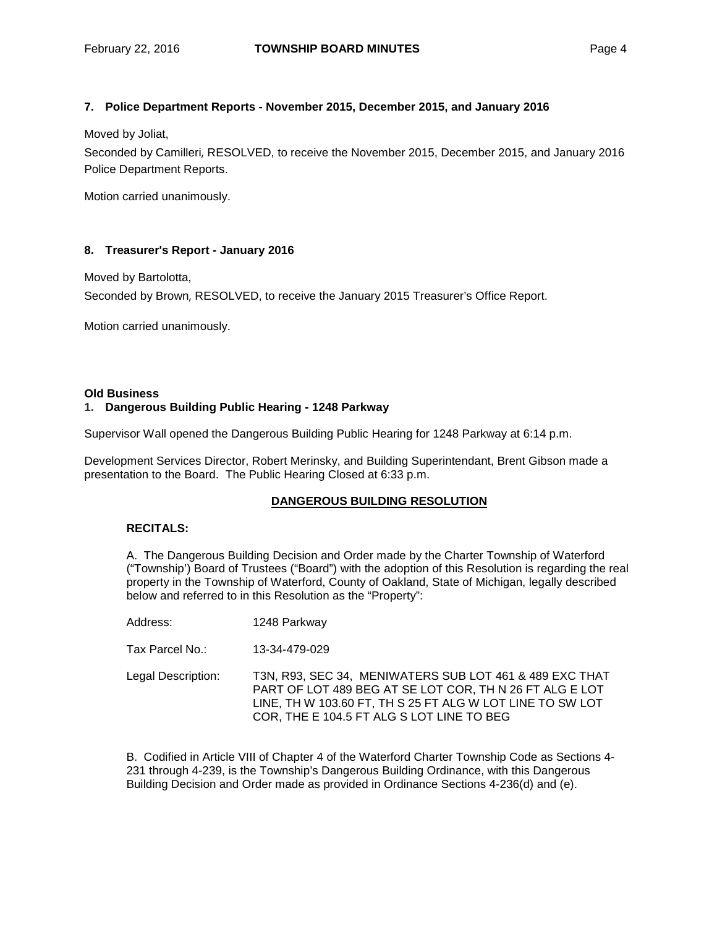### **7. Police Department Reports - November 2015, December 2015, and January 2016**

Moved by Joliat,

Seconded by Camilleri, RESOLVED, to receive the November 2015, December 2015, and January 2016 Police Department Reports.

Motion carried unanimously.

## **8. Treasurer's Report - January 2016**

Moved by Bartolotta,

Seconded by Brown, RESOLVED, to receive the January 2015 Treasurer's Office Report.

Motion carried unanimously.

#### **Old Business**

#### **1. Dangerous Building Public Hearing - 1248 Parkway**

Supervisor Wall opened the Dangerous Building Public Hearing for 1248 Parkway at 6:14 p.m.

Development Services Director, Robert Merinsky, and Building Superintendant, Brent Gibson made a presentation to the Board. The Public Hearing Closed at 6:33 p.m.

### **DANGEROUS BUILDING RESOLUTION**

## **RECITALS:**

A. The Dangerous Building Decision and Order made by the Charter Township of Waterford ("Township') Board of Trustees ("Board") with the adoption of this Resolution is regarding the real property in the Township of Waterford, County of Oakland, State of Michigan, legally described below and referred to in this Resolution as the "Property":

| Address: | 1248 Parkway |
|----------|--------------|
|          |              |

Tax Parcel No.: 13-34-479-029

Legal Description: T3N, R93, SEC 34, MENIWATERS SUB LOT 461 & 489 EXC THAT PART OF LOT 489 BEG AT SE LOT COR, TH N 26 FT ALG E LOT LINE, TH W 103.60 FT, TH S 25 FT ALG W LOT LINE TO SW LOT COR, THE E 104.5 FT ALG S LOT LINE TO BEG

B. Codified in Article VIII of Chapter 4 of the Waterford Charter Township Code as Sections 4- 231 through 4-239, is the Township's Dangerous Building Ordinance, with this Dangerous Building Decision and Order made as provided in Ordinance Sections 4-236(d) and (e).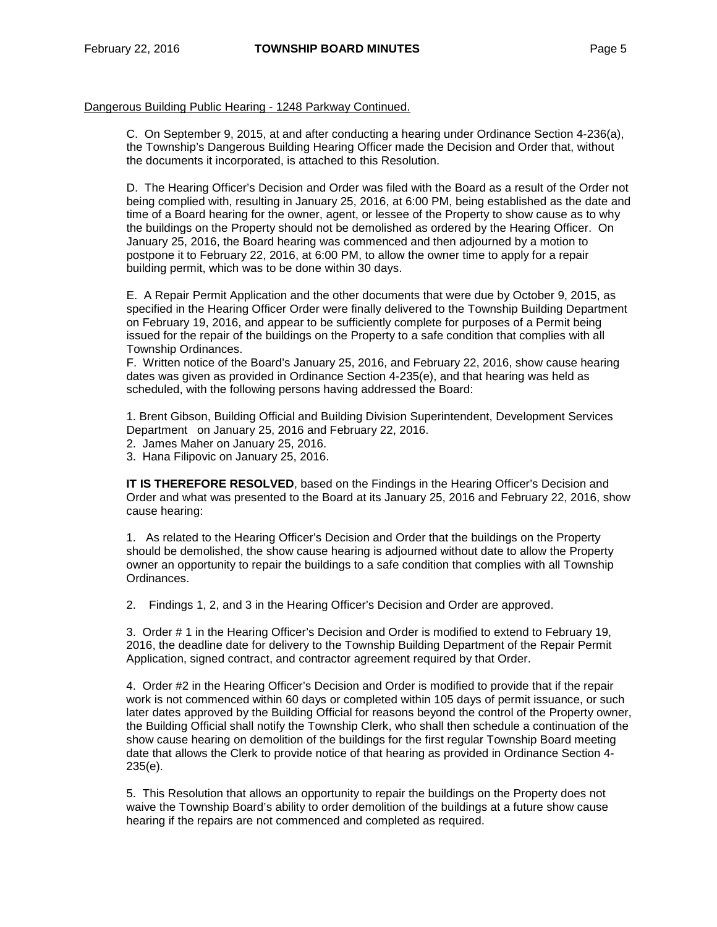### Dangerous Building Public Hearing - 1248 Parkway Continued.

C. On September 9, 2015, at and after conducting a hearing under Ordinance Section 4-236(a), the Township's Dangerous Building Hearing Officer made the Decision and Order that, without the documents it incorporated, is attached to this Resolution.

D. The Hearing Officer's Decision and Order was filed with the Board as a result of the Order not being complied with, resulting in January 25, 2016, at 6:00 PM, being established as the date and time of a Board hearing for the owner, agent, or lessee of the Property to show cause as to why the buildings on the Property should not be demolished as ordered by the Hearing Officer. On January 25, 2016, the Board hearing was commenced and then adjourned by a motion to postpone it to February 22, 2016, at 6:00 PM, to allow the owner time to apply for a repair building permit, which was to be done within 30 days.

E. A Repair Permit Application and the other documents that were due by October 9, 2015, as specified in the Hearing Officer Order were finally delivered to the Township Building Department on February 19, 2016, and appear to be sufficiently complete for purposes of a Permit being issued for the repair of the buildings on the Property to a safe condition that complies with all Township Ordinances.

F. Written notice of the Board's January 25, 2016, and February 22, 2016, show cause hearing dates was given as provided in Ordinance Section 4-235(e), and that hearing was held as scheduled, with the following persons having addressed the Board:

1. Brent Gibson, Building Official and Building Division Superintendent, Development Services Department on January 25, 2016 and February 22, 2016.

- 2. James Maher on January 25, 2016.
- 3. Hana Filipovic on January 25, 2016.

**IT IS THEREFORE RESOLVED**, based on the Findings in the Hearing Officer's Decision and Order and what was presented to the Board at its January 25, 2016 and February 22, 2016, show cause hearing:

1. As related to the Hearing Officer's Decision and Order that the buildings on the Property should be demolished, the show cause hearing is adjourned without date to allow the Property owner an opportunity to repair the buildings to a safe condition that complies with all Township Ordinances.

2. Findings 1, 2, and 3 in the Hearing Officer's Decision and Order are approved.

3. Order # 1 in the Hearing Officer's Decision and Order is modified to extend to February 19, 2016, the deadline date for delivery to the Township Building Department of the Repair Permit Application, signed contract, and contractor agreement required by that Order.

4. Order #2 in the Hearing Officer's Decision and Order is modified to provide that if the repair work is not commenced within 60 days or completed within 105 days of permit issuance, or such later dates approved by the Building Official for reasons beyond the control of the Property owner, the Building Official shall notify the Township Clerk, who shall then schedule a continuation of the show cause hearing on demolition of the buildings for the first regular Township Board meeting date that allows the Clerk to provide notice of that hearing as provided in Ordinance Section 4- 235(e).

5. This Resolution that allows an opportunity to repair the buildings on the Property does not waive the Township Board's ability to order demolition of the buildings at a future show cause hearing if the repairs are not commenced and completed as required.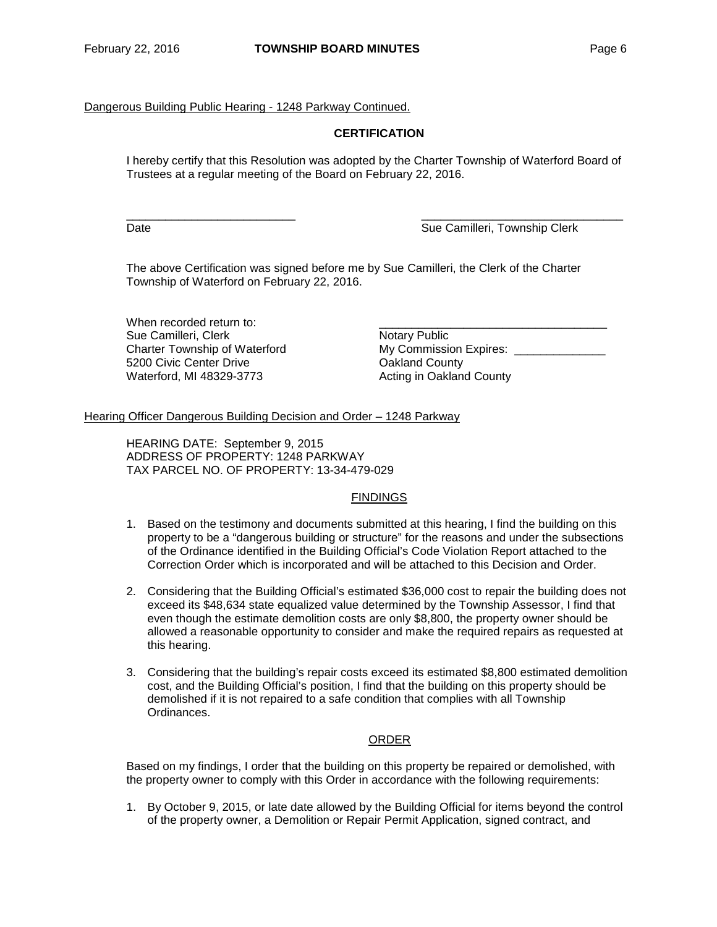### Dangerous Building Public Hearing - 1248 Parkway Continued.

### **CERTIFICATION**

I hereby certify that this Resolution was adopted by the Charter Township of Waterford Board of Trustees at a regular meeting of the Board on February 22, 2016.

\_\_\_\_\_\_\_\_\_\_\_\_\_\_\_\_\_\_\_\_\_\_\_\_\_\_ \_\_\_\_\_\_\_\_\_\_\_\_\_\_\_\_\_\_\_\_\_\_\_\_\_\_\_\_\_\_\_ Date **Sue Camilleri, Township Clerk** Sue Camilleri, Township Clerk

The above Certification was signed before me by Sue Camilleri, the Clerk of the Charter Township of Waterford on February 22, 2016.

When recorded return to: <br>
Sue Camilleri, Clerk<br>
Sue Camilleri, Clerk Sue Camilleri, Clerk (Sue Camilleri, Clerk 1994)<br>
Charter Township of Waterford (Sue My Commission Expires: Charter Township of Waterford 5200 Civic Center Drive Consumer Communication County<br>
Waterford, MI 48329-3773 Consumer Consumer Consumer Consumer Consumer Consumer County

Acting in Oakland County

#### Hearing Officer Dangerous Building Decision and Order – 1248 Parkway

HEARING DATE: September 9, 2015 ADDRESS OF PROPERTY: 1248 PARKWAY TAX PARCEL NO. OF PROPERTY: 13-34-479-029

#### FINDINGS

- 1. Based on the testimony and documents submitted at this hearing, I find the building on this property to be a "dangerous building or structure" for the reasons and under the subsections of the Ordinance identified in the Building Official's Code Violation Report attached to the Correction Order which is incorporated and will be attached to this Decision and Order.
- 2. Considering that the Building Official's estimated \$36,000 cost to repair the building does not exceed its \$48,634 state equalized value determined by the Township Assessor, I find that even though the estimate demolition costs are only \$8,800, the property owner should be allowed a reasonable opportunity to consider and make the required repairs as requested at this hearing.
- 3. Considering that the building's repair costs exceed its estimated \$8,800 estimated demolition cost, and the Building Official's position, I find that the building on this property should be demolished if it is not repaired to a safe condition that complies with all Township Ordinances.

### ORDER

Based on my findings, I order that the building on this property be repaired or demolished, with the property owner to comply with this Order in accordance with the following requirements:

1. By October 9, 2015, or late date allowed by the Building Official for items beyond the control of the property owner, a Demolition or Repair Permit Application, signed contract, and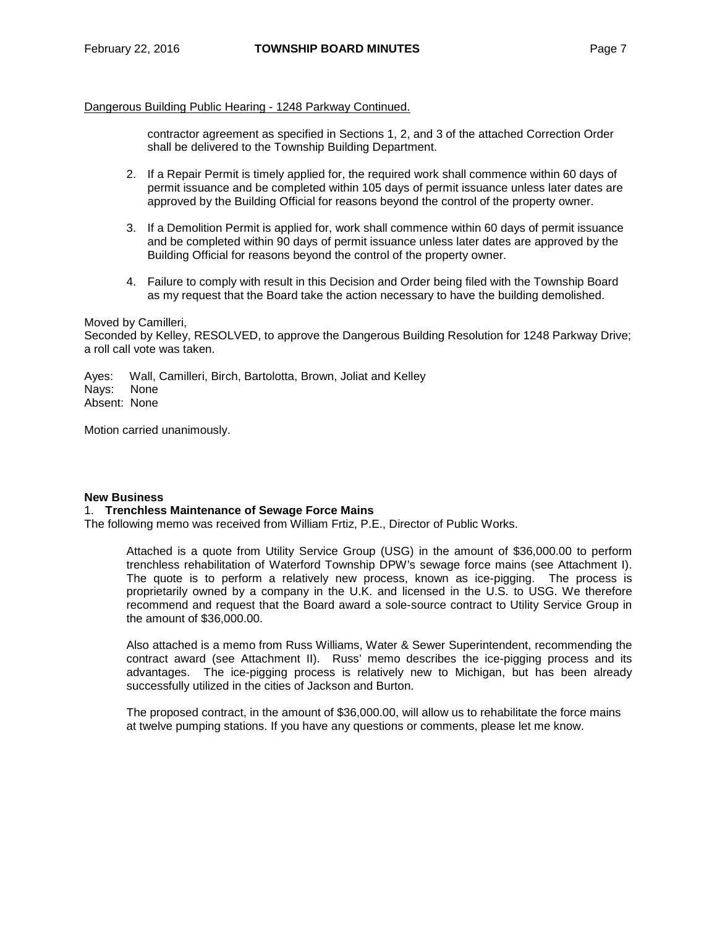### Dangerous Building Public Hearing - 1248 Parkway Continued.

contractor agreement as specified in Sections 1, 2, and 3 of the attached Correction Order shall be delivered to the Township Building Department.

- 2. If a Repair Permit is timely applied for, the required work shall commence within 60 days of permit issuance and be completed within 105 days of permit issuance unless later dates are approved by the Building Official for reasons beyond the control of the property owner.
- 3. If a Demolition Permit is applied for, work shall commence within 60 days of permit issuance and be completed within 90 days of permit issuance unless later dates are approved by the Building Official for reasons beyond the control of the property owner.
- 4. Failure to comply with result in this Decision and Order being filed with the Township Board as my request that the Board take the action necessary to have the building demolished.

Moved by Camilleri, Seconded by Kelley, RESOLVED, to approve the Dangerous Building Resolution for 1248 Parkway Drive; a roll call vote was taken.

Ayes: Wall, Camilleri, Birch, Bartolotta, Brown, Joliat and Kelley Nays: None Absent: None

Motion carried unanimously.

### **New Business**

### 1. **Trenchless Maintenance of Sewage Force Mains**

The following memo was received from William Frtiz, P.E., Director of Public Works.

Attached is a quote from Utility Service Group (USG) in the amount of \$36,000.00 to perform trenchless rehabilitation of Waterford Township DPW's sewage force mains (see Attachment I). The quote is to perform a relatively new process, known as ice-pigging. The process is proprietarily owned by a company in the U.K. and licensed in the U.S. to USG. We therefore recommend and request that the Board award a sole-source contract to Utility Service Group in the amount of \$36,000.00.

Also attached is a memo from Russ Williams, Water & Sewer Superintendent, recommending the contract award (see Attachment II). Russ' memo describes the ice-pigging process and its advantages. The ice-pigging process is relatively new to Michigan, but has been already successfully utilized in the cities of Jackson and Burton.

The proposed contract, in the amount of \$36,000.00, will allow us to rehabilitate the force mains at twelve pumping stations. If you have any questions or comments, please let me know.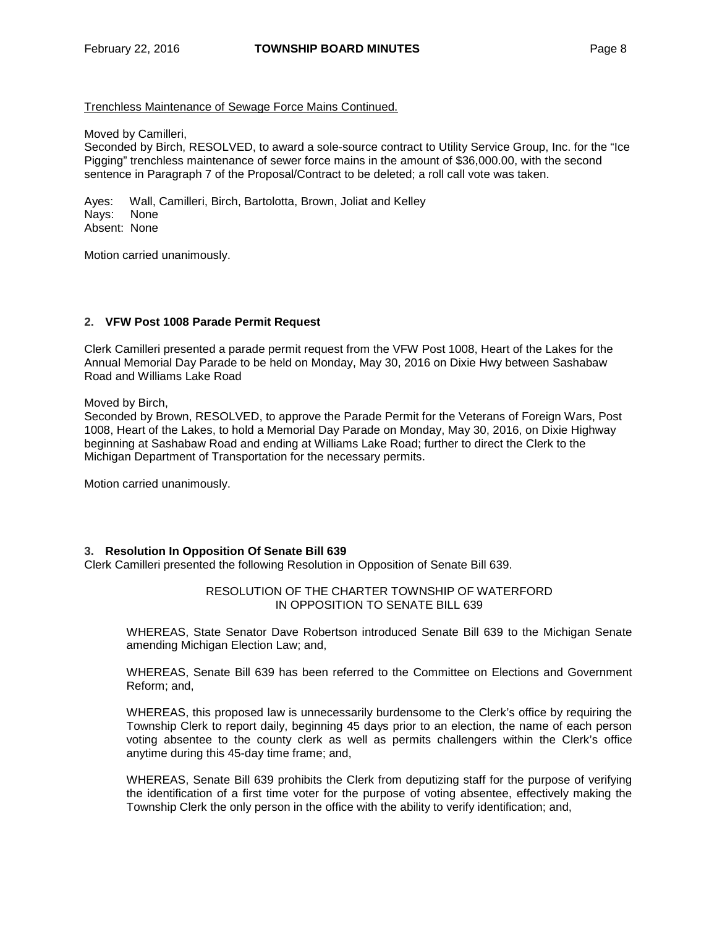### Trenchless Maintenance of Sewage Force Mains Continued.

Moved by Camilleri,

Seconded by Birch, RESOLVED, to award a sole-source contract to Utility Service Group, Inc. for the "Ice Pigging" trenchless maintenance of sewer force mains in the amount of \$36,000.00, with the second sentence in Paragraph 7 of the Proposal/Contract to be deleted; a roll call vote was taken.

Ayes: Wall, Camilleri, Birch, Bartolotta, Brown, Joliat and Kelley Nays: None Absent: None

Motion carried unanimously.

## **2. VFW Post 1008 Parade Permit Request**

Clerk Camilleri presented a parade permit request from the VFW Post 1008, Heart of the Lakes for the Annual Memorial Day Parade to be held on Monday, May 30, 2016 on Dixie Hwy between Sashabaw Road and Williams Lake Road

Moved by Birch,

Seconded by Brown, RESOLVED, to approve the Parade Permit for the Veterans of Foreign Wars, Post 1008, Heart of the Lakes, to hold a Memorial Day Parade on Monday, May 30, 2016, on Dixie Highway beginning at Sashabaw Road and ending at Williams Lake Road; further to direct the Clerk to the Michigan Department of Transportation for the necessary permits.

Motion carried unanimously.

### **3. Resolution In Opposition Of Senate Bill 639**

Clerk Camilleri presented the following Resolution in Opposition of Senate Bill 639.

### RESOLUTION OF THE CHARTER TOWNSHIP OF WATERFORD IN OPPOSITION TO SENATE BILL 639

WHEREAS, State Senator Dave Robertson introduced Senate Bill 639 to the Michigan Senate amending Michigan Election Law; and,

WHEREAS, Senate Bill 639 has been referred to the Committee on Elections and Government Reform; and,

WHEREAS, this proposed law is unnecessarily burdensome to the Clerk's office by requiring the Township Clerk to report daily, beginning 45 days prior to an election, the name of each person voting absentee to the county clerk as well as permits challengers within the Clerk's office anytime during this 45-day time frame; and,

WHEREAS, Senate Bill 639 prohibits the Clerk from deputizing staff for the purpose of verifying the identification of a first time voter for the purpose of voting absentee, effectively making the Township Clerk the only person in the office with the ability to verify identification; and,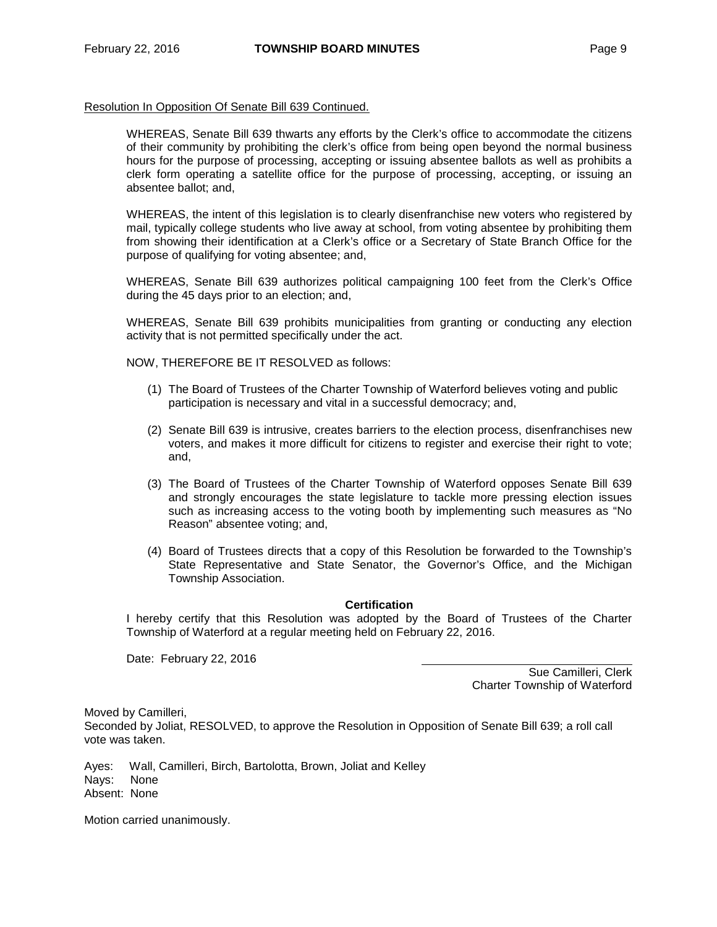#### Resolution In Opposition Of Senate Bill 639 Continued.

WHEREAS, Senate Bill 639 thwarts any efforts by the Clerk's office to accommodate the citizens of their community by prohibiting the clerk's office from being open beyond the normal business hours for the purpose of processing, accepting or issuing absentee ballots as well as prohibits a clerk form operating a satellite office for the purpose of processing, accepting, or issuing an absentee ballot; and,

WHEREAS, the intent of this legislation is to clearly disenfranchise new voters who registered by mail, typically college students who live away at school, from voting absentee by prohibiting them from showing their identification at a Clerk's office or a Secretary of State Branch Office for the purpose of qualifying for voting absentee; and,

WHEREAS, Senate Bill 639 authorizes political campaigning 100 feet from the Clerk's Office during the 45 days prior to an election; and,

WHEREAS, Senate Bill 639 prohibits municipalities from granting or conducting any election activity that is not permitted specifically under the act.

NOW, THEREFORE BE IT RESOLVED as follows:

- (1) The Board of Trustees of the Charter Township of Waterford believes voting and public participation is necessary and vital in a successful democracy; and,
- (2) Senate Bill 639 is intrusive, creates barriers to the election process, disenfranchises new voters, and makes it more difficult for citizens to register and exercise their right to vote; and,
- (3) The Board of Trustees of the Charter Township of Waterford opposes Senate Bill 639 and strongly encourages the state legislature to tackle more pressing election issues such as increasing access to the voting booth by implementing such measures as "No Reason" absentee voting; and,
- (4) Board of Trustees directs that a copy of this Resolution be forwarded to the Township's State Representative and State Senator, the Governor's Office, and the Michigan Township Association.

### **Certification**

I hereby certify that this Resolution was adopted by the Board of Trustees of the Charter Township of Waterford at a regular meeting held on February 22, 2016.

Date: February 22, 2016

Sue Camilleri, Clerk Charter Township of Waterford

Moved by Camilleri, Seconded by Joliat, RESOLVED, to approve the Resolution in Opposition of Senate Bill 639; a roll call vote was taken.

Ayes: Wall, Camilleri, Birch, Bartolotta, Brown, Joliat and Kelley Nays: None Absent: None

Motion carried unanimously.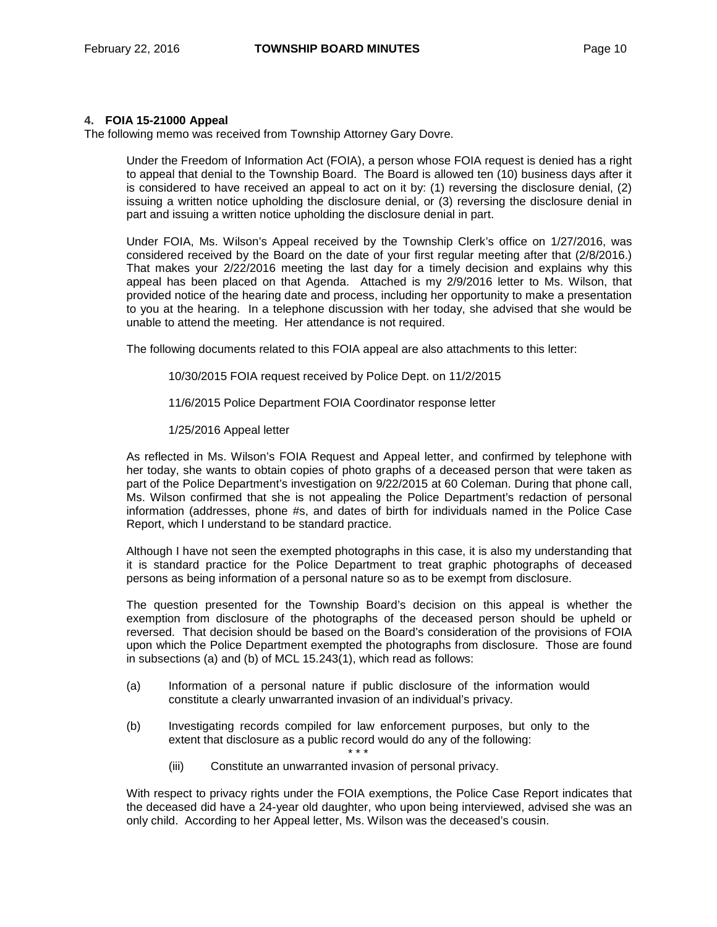### **4. FOIA 15-21000 Appeal**

The following memo was received from Township Attorney Gary Dovre.

Under the Freedom of Information Act (FOIA), a person whose FOIA request is denied has a right to appeal that denial to the Township Board. The Board is allowed ten (10) business days after it is considered to have received an appeal to act on it by: (1) reversing the disclosure denial, (2) issuing a written notice upholding the disclosure denial, or (3) reversing the disclosure denial in part and issuing a written notice upholding the disclosure denial in part.

Under FOIA, Ms. Wilson's Appeal received by the Township Clerk's office on 1/27/2016, was considered received by the Board on the date of your first regular meeting after that (2/8/2016.) That makes your 2/22/2016 meeting the last day for a timely decision and explains why this appeal has been placed on that Agenda. Attached is my 2/9/2016 letter to Ms. Wilson, that provided notice of the hearing date and process, including her opportunity to make a presentation to you at the hearing. In a telephone discussion with her today, she advised that she would be unable to attend the meeting. Her attendance is not required.

The following documents related to this FOIA appeal are also attachments to this letter:

10/30/2015 FOIA request received by Police Dept. on 11/2/2015

- 11/6/2015 Police Department FOIA Coordinator response letter
- 1/25/2016 Appeal letter

As reflected in Ms. Wilson's FOIA Request and Appeal letter, and confirmed by telephone with her today, she wants to obtain copies of photo graphs of a deceased person that were taken as part of the Police Department's investigation on 9/22/2015 at 60 Coleman. During that phone call, Ms. Wilson confirmed that she is not appealing the Police Department's redaction of personal information (addresses, phone #s, and dates of birth for individuals named in the Police Case Report, which I understand to be standard practice.

Although I have not seen the exempted photographs in this case, it is also my understanding that it is standard practice for the Police Department to treat graphic photographs of deceased persons as being information of a personal nature so as to be exempt from disclosure.

The question presented for the Township Board's decision on this appeal is whether the exemption from disclosure of the photographs of the deceased person should be upheld or reversed. That decision should be based on the Board's consideration of the provisions of FOIA upon which the Police Department exempted the photographs from disclosure. Those are found in subsections (a) and (b) of MCL 15.243(1), which read as follows:

- (a) Information of a personal nature if public disclosure of the information would constitute a clearly unwarranted invasion of an individual's privacy.
- (b) Investigating records compiled for law enforcement purposes, but only to the extent that disclosure as a public record would do any of the following: \* \* \*
	- (iii) Constitute an unwarranted invasion of personal privacy.

With respect to privacy rights under the FOIA exemptions, the Police Case Report indicates that the deceased did have a 24-year old daughter, who upon being interviewed, advised she was an only child. According to her Appeal letter, Ms. Wilson was the deceased's cousin.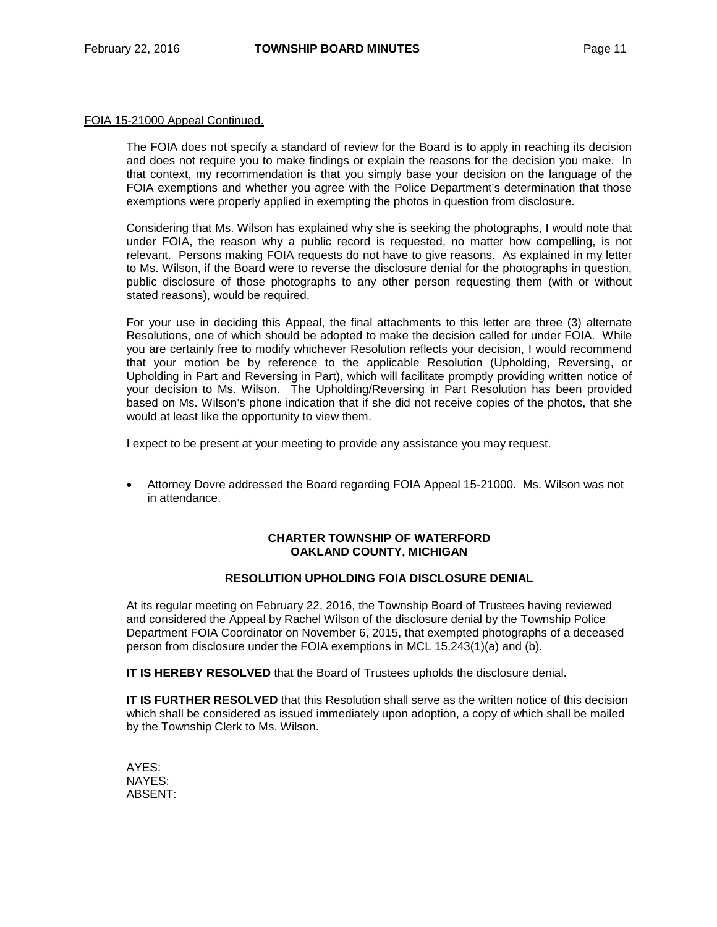#### FOIA 15-21000 Appeal Continued.

The FOIA does not specify a standard of review for the Board is to apply in reaching its decision and does not require you to make findings or explain the reasons for the decision you make. In that context, my recommendation is that you simply base your decision on the language of the FOIA exemptions and whether you agree with the Police Department's determination that those exemptions were properly applied in exempting the photos in question from disclosure.

Considering that Ms. Wilson has explained why she is seeking the photographs, I would note that under FOIA, the reason why a public record is requested, no matter how compelling, is not relevant. Persons making FOIA requests do not have to give reasons. As explained in my letter to Ms. Wilson, if the Board were to reverse the disclosure denial for the photographs in question, public disclosure of those photographs to any other person requesting them (with or without stated reasons), would be required.

For your use in deciding this Appeal, the final attachments to this letter are three (3) alternate Resolutions, one of which should be adopted to make the decision called for under FOIA. While you are certainly free to modify whichever Resolution reflects your decision, I would recommend that your motion be by reference to the applicable Resolution (Upholding, Reversing, or Upholding in Part and Reversing in Part), which will facilitate promptly providing written notice of your decision to Ms. Wilson. The Upholding/Reversing in Part Resolution has been provided based on Ms. Wilson's phone indication that if she did not receive copies of the photos, that she would at least like the opportunity to view them.

I expect to be present at your meeting to provide any assistance you may request.

• Attorney Dovre addressed the Board regarding FOIA Appeal 15-21000. Ms. Wilson was not in attendance.

### **CHARTER TOWNSHIP OF WATERFORD OAKLAND COUNTY, MICHIGAN**

## **RESOLUTION UPHOLDING FOIA DISCLOSURE DENIAL**

At its regular meeting on February 22, 2016, the Township Board of Trustees having reviewed and considered the Appeal by Rachel Wilson of the disclosure denial by the Township Police Department FOIA Coordinator on November 6, 2015, that exempted photographs of a deceased person from disclosure under the FOIA exemptions in MCL 15.243(1)(a) and (b).

**IT IS HEREBY RESOLVED** that the Board of Trustees upholds the disclosure denial.

**IT IS FURTHER RESOLVED** that this Resolution shall serve as the written notice of this decision which shall be considered as issued immediately upon adoption, a copy of which shall be mailed by the Township Clerk to Ms. Wilson.

AYES: NAYES: ABSENT: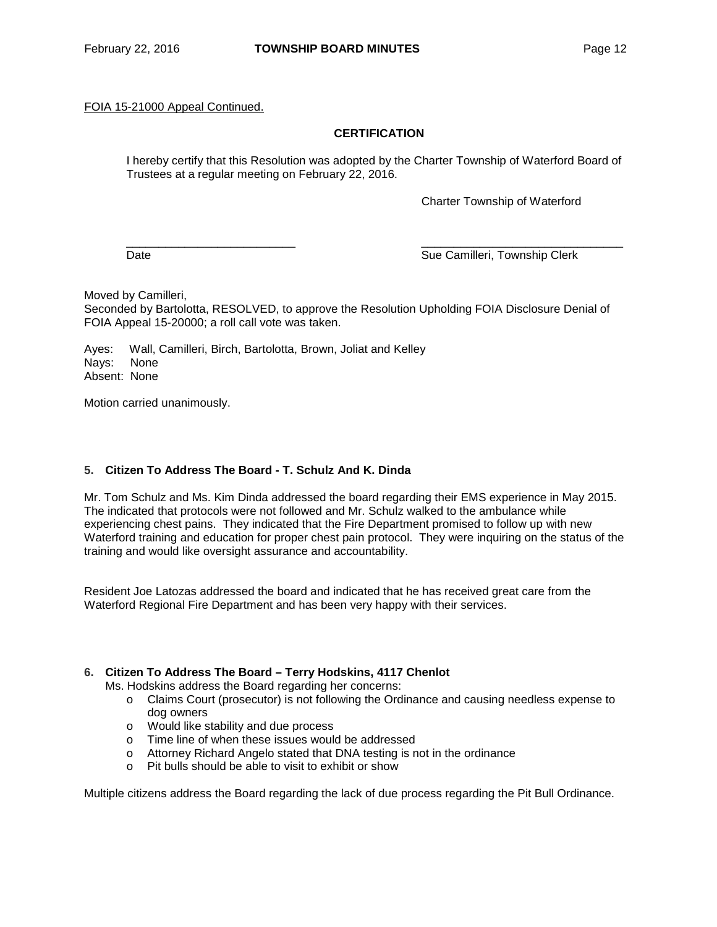## FOIA 15-21000 Appeal Continued.

## **CERTIFICATION**

I hereby certify that this Resolution was adopted by the Charter Township of Waterford Board of Trustees at a regular meeting on February 22, 2016.

Charter Township of Waterford

\_\_\_\_\_\_\_\_\_\_\_\_\_\_\_\_\_\_\_\_\_\_\_\_\_\_ \_\_\_\_\_\_\_\_\_\_\_\_\_\_\_\_\_\_\_\_\_\_\_\_\_\_\_\_\_\_\_ Date **Sue Camilleri, Township Clerk** Sue Camilleri, Township Clerk

Moved by Camilleri,

Seconded by Bartolotta, RESOLVED, to approve the Resolution Upholding FOIA Disclosure Denial of FOIA Appeal 15-20000; a roll call vote was taken.

Ayes: Wall, Camilleri, Birch, Bartolotta, Brown, Joliat and Kelley Nays: None Absent: None

Motion carried unanimously.

## **5. Citizen To Address The Board - T. Schulz And K. Dinda**

Mr. Tom Schulz and Ms. Kim Dinda addressed the board regarding their EMS experience in May 2015. The indicated that protocols were not followed and Mr. Schulz walked to the ambulance while experiencing chest pains. They indicated that the Fire Department promised to follow up with new Waterford training and education for proper chest pain protocol. They were inquiring on the status of the training and would like oversight assurance and accountability.

Resident Joe Latozas addressed the board and indicated that he has received great care from the Waterford Regional Fire Department and has been very happy with their services.

## **6. Citizen To Address The Board – Terry Hodskins, 4117 Chenlot**

Ms. Hodskins address the Board regarding her concerns:

- o Claims Court (prosecutor) is not following the Ordinance and causing needless expense to dog owners
- o Would like stability and due process
- o Time line of when these issues would be addressed
- o Attorney Richard Angelo stated that DNA testing is not in the ordinance
- o Pit bulls should be able to visit to exhibit or show

Multiple citizens address the Board regarding the lack of due process regarding the Pit Bull Ordinance.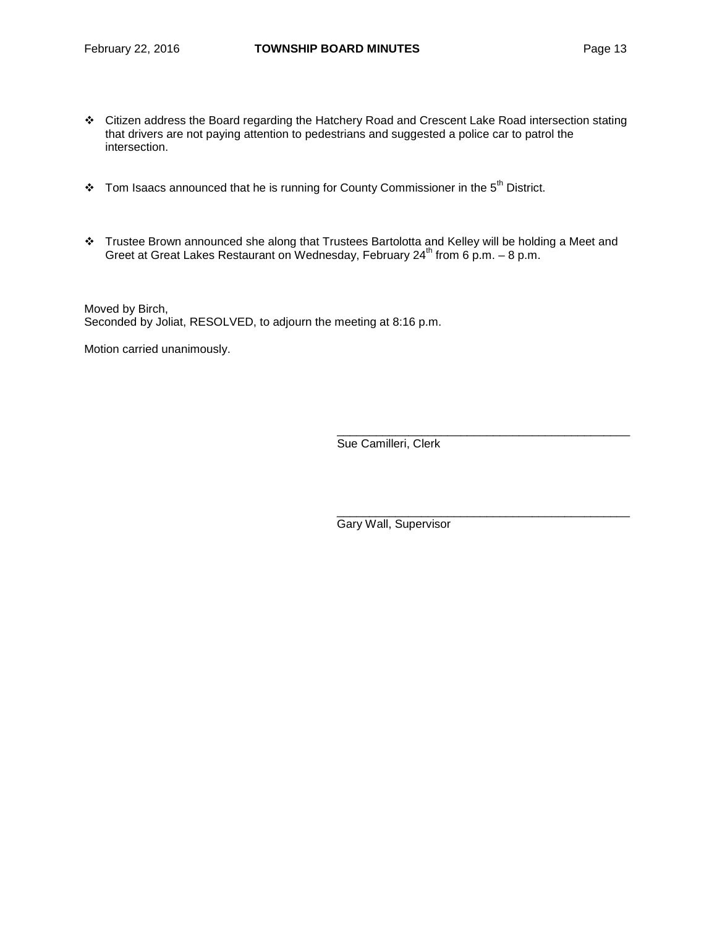- Citizen address the Board regarding the Hatchery Road and Crescent Lake Road intersection stating that drivers are not paying attention to pedestrians and suggested a police car to patrol the intersection.
- $\cdot$  Tom Isaacs announced that he is running for County Commissioner in the 5<sup>th</sup> District.
- Trustee Brown announced she along that Trustees Bartolotta and Kelley will be holding a Meet and Greet at Great Lakes Restaurant on Wednesday, February 24<sup>th</sup> from 6 p.m.  $-$  8 p.m.

Moved by Birch, Seconded by Joliat, RESOLVED, to adjourn the meeting at 8:16 p.m.

Motion carried unanimously.

Sue Camilleri, Clerk

\_\_\_\_\_\_\_\_\_\_\_\_\_\_\_\_\_\_\_\_\_\_\_\_\_\_\_\_\_\_\_\_\_\_\_\_\_\_\_\_\_\_\_\_\_

\_\_\_\_\_\_\_\_\_\_\_\_\_\_\_\_\_\_\_\_\_\_\_\_\_\_\_\_\_\_\_\_\_\_\_\_\_\_\_\_\_\_\_\_\_

Gary Wall, Supervisor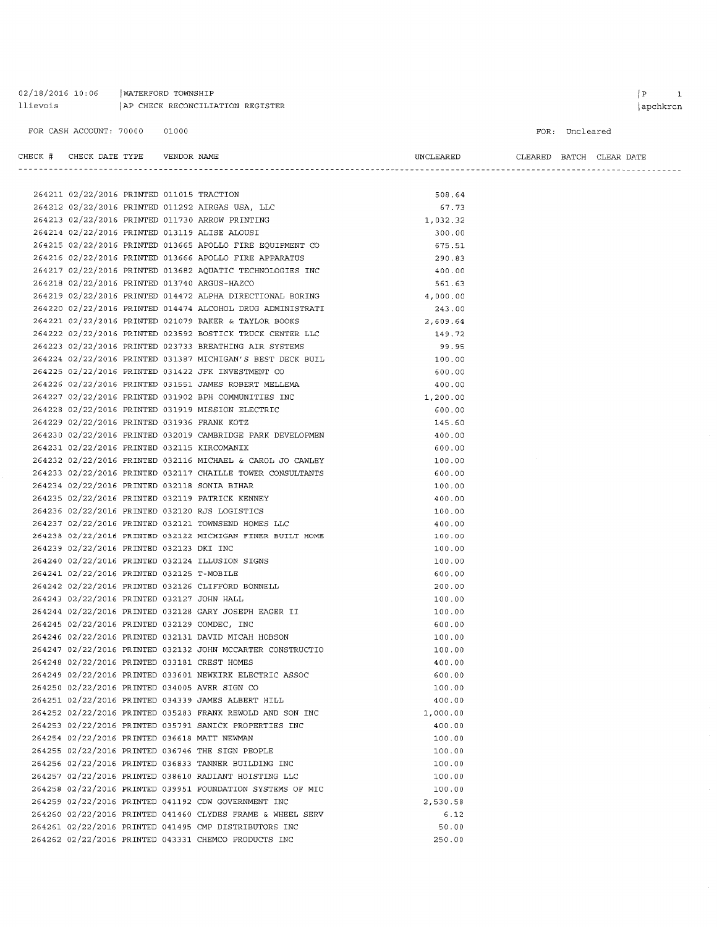#### 02/18/2016 10:06 | WATERFORD TOWNSHIP llievois | AP CHECK RECONCILIATION REGISTER

FOR CASH ACCOUNT: 70000 01000

FOR: Uncleared

| CHECK # CHECK DATE TYPE    VENDOR NAME      |  |                                                            | UNCLEARED | CLEARED BATCH CLEAR DATE |  |  |
|---------------------------------------------|--|------------------------------------------------------------|-----------|--------------------------|--|--|
|                                             |  |                                                            |           |                          |  |  |
| 264211 02/22/2016 PRINTED 011015 TRACTION   |  |                                                            | 508.64    |                          |  |  |
|                                             |  | 264212 02/22/2016 PRINTED 011292 AIRGAS USA, LLC           | 67.73     |                          |  |  |
|                                             |  | 264213 02/22/2016 PRINTED 011730 ARROW PRINTING            | 1,032.32  |                          |  |  |
|                                             |  | 264214 02/22/2016 PRINTED 013119 ALISE ALOUSI              | 300.00    |                          |  |  |
|                                             |  | 264215 02/22/2016 PRINTED 013665 APOLLO FIRE EQUIPMENT CO  | 675.51    |                          |  |  |
|                                             |  | 264216 02/22/2016 PRINTED 013666 APOLLO FIRE APPARATUS     | 290.83    |                          |  |  |
|                                             |  | 264217 02/22/2016 PRINTED 013682 AQUATIC TECHNOLOGIES INC  | 400.00    |                          |  |  |
|                                             |  | 264218 02/22/2016 PRINTED 013740 ARGUS-HAZCO               | 561.63    |                          |  |  |
|                                             |  | 264219 02/22/2016 PRINTED 014472 ALPHA DIRECTIONAL BORING  | 4,000.00  |                          |  |  |
|                                             |  | 264220 02/22/2016 PRINTED 014474 ALCOHOL DRUG ADMINISTRATI |           |                          |  |  |
|                                             |  | 264221 02/22/2016 PRINTED 021079 BAKER & TAYLOR BOOKS      | 243.00    |                          |  |  |
|                                             |  | 264222 02/22/2016 PRINTED 023592 BOSTICK TRUCK CENTER LLC  | 2,609.64  |                          |  |  |
|                                             |  |                                                            | 149.72    |                          |  |  |
|                                             |  | 264223 02/22/2016 PRINTED 023733 BREATHING AIR SYSTEMS     | 99.95     |                          |  |  |
|                                             |  | 264224 02/22/2016 PRINTED 031387 MICHIGAN'S BEST DECK BUIL | 100.00    |                          |  |  |
|                                             |  | 264225 02/22/2016 PRINTED 031422 JFK INVESTMENT CO         | 600.00    |                          |  |  |
|                                             |  | 264226 02/22/2016 PRINTED 031551 JAMES ROBERT MELLEMA      | 400.00    |                          |  |  |
|                                             |  | 264227 02/22/2016 PRINTED 031902 BPH COMMUNITIES INC       | 1,200.00  |                          |  |  |
|                                             |  | 264228 02/22/2016 PRINTED 031919 MISSION ELECTRIC          | 600.00    |                          |  |  |
| 264229 02/22/2016 PRINTED 031936 FRANK KOTZ |  |                                                            | 145.60    |                          |  |  |
|                                             |  | 264230 02/22/2016 PRINTED 032019 CAMBRIDGE PARK DEVELOPMEN | 400.00    |                          |  |  |
| 264231 02/22/2016 PRINTED 032115 KIRCOMANIX |  |                                                            | 600.00    |                          |  |  |
|                                             |  | 264232 02/22/2016 PRINTED 032116 MICHAEL & CAROL JO CAWLEY | 100.00    |                          |  |  |
|                                             |  | 264233 02/22/2016 PRINTED 032117 CHAILLE TOWER CONSULTANTS | 600.00    |                          |  |  |
|                                             |  | 264234 02/22/2016 PRINTED 032118 SONIA BIHAR               | 100.00    |                          |  |  |
|                                             |  | 264235 02/22/2016 PRINTED 032119 PATRICK KENNEY            | 400.00    |                          |  |  |
|                                             |  | 264236 02/22/2016 PRINTED 032120 RJS LOGISTICS             | 100.00    |                          |  |  |
|                                             |  | 264237 02/22/2016 PRINTED 032121 TOWNSEND HOMES LLC        | 400.00    |                          |  |  |
|                                             |  | 264238 02/22/2016 PRINTED 032122 MICHIGAN FINER BUILT HOME | 100.00    |                          |  |  |
| 264239 02/22/2016 PRINTED 032123 DKI INC    |  |                                                            | 100.00    |                          |  |  |
|                                             |  | 264240 02/22/2016 PRINTED 032124 ILLUSION SIGNS            | 100.00    |                          |  |  |
| 264241 02/22/2016 PRINTED 032125 T-MOBILE   |  |                                                            | 600.00    |                          |  |  |
|                                             |  | 264242 02/22/2016 PRINTED 032126 CLIFFORD BONNELL          | 200.00    |                          |  |  |
| 264243 02/22/2016 PRINTED 032127 JOHN HALL  |  |                                                            | 100.00    |                          |  |  |
|                                             |  | 264244 02/22/2016 PRINTED 032128 GARY JOSEPH EAGER II      | 100.00    |                          |  |  |
|                                             |  | 264245 02/22/2016 PRINTED 032129 COMDEC, INC               | 600.00    |                          |  |  |
|                                             |  | 264246 02/22/2016 PRINTED 032131 DAVID MICAH HOBSON        | 100.00    |                          |  |  |
|                                             |  | 264247 02/22/2016 PRINTED 032132 JOHN MCCARTER CONSTRUCTIO | 100.00    |                          |  |  |
|                                             |  | 264248 02/22/2016 PRINTED 033181 CREST HOMES               | 400.00    |                          |  |  |
|                                             |  | 264249 02/22/2016 PRINTED 033601 NEWKIRK ELECTRIC ASSOC    | 600.00    |                          |  |  |
|                                             |  | 264250 02/22/2016 PRINTED 034005 AVER SIGN CO              | 100.00    |                          |  |  |
|                                             |  | 264251 02/22/2016 PRINTED 034339 JAMES ALBERT HILL         | 400.00    |                          |  |  |
|                                             |  | 264252 02/22/2016 PRINTED 035283 FRANK REWOLD AND SON INC  | 1,000.00  |                          |  |  |
|                                             |  | 264253 02/22/2016 PRINTED 035791 SANICK PROPERTIES INC     | 400.00    |                          |  |  |
|                                             |  | 264254 02/22/2016 PRINTED 036618 MATT NEWMAN               | 100.00    |                          |  |  |
|                                             |  | 264255 02/22/2016 PRINTED 036746 THE SIGN PEOPLE           | 100.00    |                          |  |  |
|                                             |  | 264256 02/22/2016 PRINTED 036833 TANNER BUILDING INC       | 100.00    |                          |  |  |
|                                             |  | 264257 02/22/2016 PRINTED 038610 RADIANT HOISTING LLC      | 100.00    |                          |  |  |
|                                             |  | 264258 02/22/2016 PRINTED 039951 FOUNDATION SYSTEMS OF MIC | 100.00    |                          |  |  |
|                                             |  | 264259 02/22/2016 PRINTED 041192 CDW GOVERNMENT INC        | 2,530.58  |                          |  |  |
|                                             |  | 264260 02/22/2016 PRINTED 041460 CLYDES FRAME & WHEEL SERV | 6.12      |                          |  |  |
|                                             |  | 264261 02/22/2016 PRINTED 041495 CMP DISTRIBUTORS INC      | 50.00     |                          |  |  |
|                                             |  |                                                            |           |                          |  |  |
|                                             |  | 264262 02/22/2016 PRINTED 043331 CHEMCO PRODUCTS INC       | 250.00    |                          |  |  |

 $\begin{array}{|c|c|} \hline P & \qquad & 1 \\ \hline \end{array}$  $|apchkren$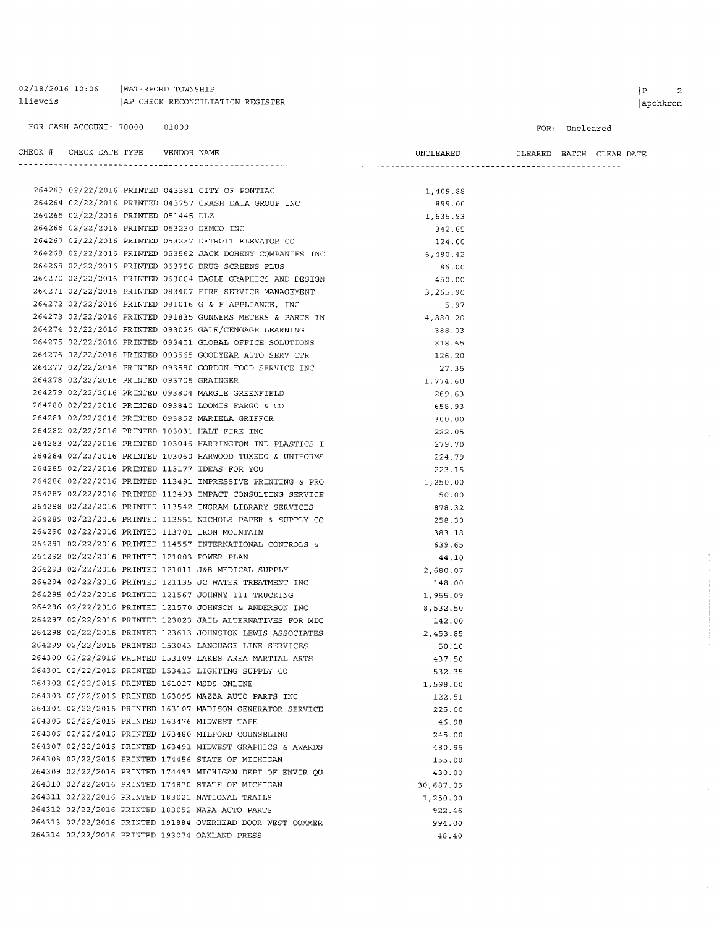02/18/2016 10:06 | WATERFORD TOWNSHIP llievois | AP CHECK RECONCILIATION REGISTER

 $\begin{array}{|c|c|c|}\hline P&\qquad&2 \\\hline \end{array}$ 

#### FOR: Uncleared

| CHECK # CHECK DATE TYPE    VENDOR NAME |  |                                                                                                                                                                                                                                            | UNCLEARED          | CLEARED BATCH CLEAR DATE |  |  |
|----------------------------------------|--|--------------------------------------------------------------------------------------------------------------------------------------------------------------------------------------------------------------------------------------------|--------------------|--------------------------|--|--|
|                                        |  |                                                                                                                                                                                                                                            |                    |                          |  |  |
|                                        |  |                                                                                                                                                                                                                                            |                    |                          |  |  |
|                                        |  | 264263 02/22/2016 PRINTED 043381 CITY OF PONTIAC<br>264264 02/22/2016 PRINTED 043757 CRASH DATA GROUP INC<br>264265 02/22/2016 PRINTED 051445 DLZ<br>264266 02/22/2016 PRINTED 053230 DEMCO INC<br>264267 02/22/2016 PRINTED 053237 DETROI | 1,409.88<br>899.00 |                          |  |  |
|                                        |  |                                                                                                                                                                                                                                            | 1,635.93           |                          |  |  |
|                                        |  |                                                                                                                                                                                                                                            | 342.65             |                          |  |  |
|                                        |  |                                                                                                                                                                                                                                            | 124.00             |                          |  |  |
|                                        |  | 264268 02/22/2016 PRINTED 053562 JACK DOHENY COMPANIES INC                                                                                                                                                                                 | 6,480.42           |                          |  |  |
|                                        |  | 264269 02/22/2016 PRINTED 053756 DRUG SCREENS PLUS                                                                                                                                                                                         | 86.00              |                          |  |  |
|                                        |  | 264270 02/22/2016 PRINTED 063004 EAGLE GRAPHICS AND DESIGN                                                                                                                                                                                 | 450.00             |                          |  |  |
|                                        |  | 264271 02/22/2016 PRINTED 083407 FIRE SERVICE MANAGEMENT                                                                                                                                                                                   | 3,265.90           |                          |  |  |
|                                        |  | 264272 02/22/2016 PRINTED 091016 G & F APPLIANCE, INC                                                                                                                                                                                      | 5.97               |                          |  |  |
|                                        |  | 264273 02/22/2016 PRINTED 091835 GUNNERS METERS & PARTS IN $4,880.20$                                                                                                                                                                      |                    |                          |  |  |
|                                        |  | 264274 02/22/2016 PRINTED 093025 GALE/CENGAGE LEARNING                                                                                                                                                                                     | 388.03             |                          |  |  |
|                                        |  | 264275 02/22/2016 PRINTED 093451 GLOBAL OFFICE SOLUTIONS                                                                                                                                                                                   | 818.65             |                          |  |  |
|                                        |  |                                                                                                                                                                                                                                            | 126.20             |                          |  |  |
|                                        |  | $264277$ 02/22/2016 PRINTED 093565 GOODYEAR AUTO SERV CTR<br>264277 02/22/2016 PRINTED 093580 GORDON FOOD SERVICE INC<br>264278 02/22/2016 PRINTED 093705 CDAINSCRIPT                                                                      | 27.35              |                          |  |  |
|                                        |  |                                                                                                                                                                                                                                            | 1,774.60           |                          |  |  |
|                                        |  | 264279 02/22/2016 PRINTED 093804 MARGIE GREENFIELD                                                                                                                                                                                         | 269.63             |                          |  |  |
|                                        |  | 264280 02/22/2016 PRINTED 093840 LOOMIS FARGO & CO                                                                                                                                                                                         | 658.93             |                          |  |  |
|                                        |  | 264281 02/22/2016 PRINTED 093852 MARIELA GRIFFOR                                                                                                                                                                                           | 300.00             |                          |  |  |
|                                        |  | 264282 02/22/2016 PRINTED 103031 HALT FIRE INC                                                                                                                                                                                             | 222.05             |                          |  |  |
|                                        |  | 264283 02/22/2016 PRINTED 103046 HARRINGTON IND PLASTICS I                                                                                                                                                                                 | 279.70             |                          |  |  |
|                                        |  | 264284 02/22/2016 PRINTED 103060 HARWOOD TUXEDO & UNIFORMS                                                                                                                                                                                 | 224.79             |                          |  |  |
|                                        |  | 264285 02/22/2016 PRINTED 113177 IDEAS FOR YOU                                                                                                                                                                                             | 223.15             |                          |  |  |
|                                        |  | 264286 02/22/2016 PRINTED 113491 IMPRESSIVE PRINTING & PRO                                                                                                                                                                                 | 1,250.00           |                          |  |  |
|                                        |  | 264287 02/22/2016 PRINTED 113493 IMPACT CONSULTING SERVICE                                                                                                                                                                                 | 50.00              |                          |  |  |
|                                        |  | 264288 02/22/2016 PRINTED 113542 INGRAM LIBRARY SERVICES                                                                                                                                                                                   | 878.32             |                          |  |  |
|                                        |  | 264289 02/22/2016 PRINTED 113551 NICHOLS PAPER & SUPPLY CO                                                                                                                                                                                 | 258.30             |                          |  |  |
|                                        |  | 264290 02/22/2016 PRINTED 113701 IRON MOUNTAIN                                                                                                                                                                                             | 383.18             |                          |  |  |
|                                        |  | 264291 02/22/2016 PRINTED 114557 INTERNATIONAL CONTROLS &                                                                                                                                                                                  | 639.65             |                          |  |  |
|                                        |  | 264292 02/22/2016 PRINTED 121003 POWER PLAN                                                                                                                                                                                                | 44.10              |                          |  |  |
|                                        |  | 264293 02/22/2016 PRINTED 121011 J&B MEDICAL SUPPLY                                                                                                                                                                                        | 2,680.07           |                          |  |  |
|                                        |  | 264294 02/22/2016 PRINTED 121135 JC WATER TREATMENT INC                                                                                                                                                                                    | 148.00             |                          |  |  |
|                                        |  | 264295 02/22/2016 PRINTED 121567 JOHNNY III TRUCKING                                                                                                                                                                                       | 1,955.09           |                          |  |  |
|                                        |  | 264296 02/22/2016 PRINTED 121570 JOHNSON & ANDERSON INC                                                                                                                                                                                    | 8,532.50           |                          |  |  |
|                                        |  | 264297 02/22/2016 PRINTED 123023 JAIL ALTERNATIVES FOR MIC                                                                                                                                                                                 | 142.00             |                          |  |  |
|                                        |  | 264298 02/22/2016 PRINTED 123613 JOHNSTON LEWIS ASSOCIATES                                                                                                                                                                                 | 2,453.85           |                          |  |  |
|                                        |  | 264299 02/22/2016 PRINTED 153043 LANGUAGE LINE SERVICES                                                                                                                                                                                    | 50.10              |                          |  |  |
|                                        |  | 264300 02/22/2016 PRINTED 153109 LAKES AREA MARTIAL ARTS                                                                                                                                                                                   | 437.50             |                          |  |  |
|                                        |  | 264301 02/22/2016 PRINTED 153413 LIGHTING SUPPLY CO<br>264302 02/22/2016 PRINTED 161027 MSDS ONLINE                                                                                                                                        | 532.35             |                          |  |  |
|                                        |  | 264303 02/22/2016 PRINTED 163095 MAZZA AUTO PARTS INC                                                                                                                                                                                      | 1,598.00           |                          |  |  |
|                                        |  | 264304 02/22/2016 PRINTED 163107 MADISON GENERATOR SERVICE                                                                                                                                                                                 | 122.51<br>225.00   |                          |  |  |
|                                        |  | 264305 02/22/2016 PRINTED 163476 MIDWEST TAPE                                                                                                                                                                                              | 46.98              |                          |  |  |
|                                        |  | 264306 02/22/2016 PRINTED 163480 MILFORD COUNSELING                                                                                                                                                                                        | 245.00             |                          |  |  |
|                                        |  | 264307 02/22/2016 PRINTED 163491 MIDWEST GRAPHICS & AWARDS                                                                                                                                                                                 | 480.95             |                          |  |  |
|                                        |  | 264308 02/22/2016 PRINTED 174456 STATE OF MICHIGAN                                                                                                                                                                                         | 155.00             |                          |  |  |
|                                        |  | 264309 02/22/2016 PRINTED 174493 MICHIGAN DEPT OF ENVIR QU                                                                                                                                                                                 | 430.00             |                          |  |  |
|                                        |  | 264310 02/22/2016 PRINTED 174870 STATE OF MICHIGAN                                                                                                                                                                                         | 30,687.05          |                          |  |  |
|                                        |  | 264311 02/22/2016 PRINTED 183021 NATIONAL TRAILS                                                                                                                                                                                           | 1,250.00           |                          |  |  |
|                                        |  | 264312 02/22/2016 PRINTED 183052 NAPA AUTO PARTS                                                                                                                                                                                           | 922.46             |                          |  |  |
|                                        |  | 264313 02/22/2016 PRINTED 191884 OVERHEAD DOOR WEST COMMER                                                                                                                                                                                 | 994.00             |                          |  |  |
|                                        |  | 264314 02/22/2016 PRINTED 193074 OAKLAND PRESS                                                                                                                                                                                             | 48.40              |                          |  |  |
|                                        |  |                                                                                                                                                                                                                                            |                    |                          |  |  |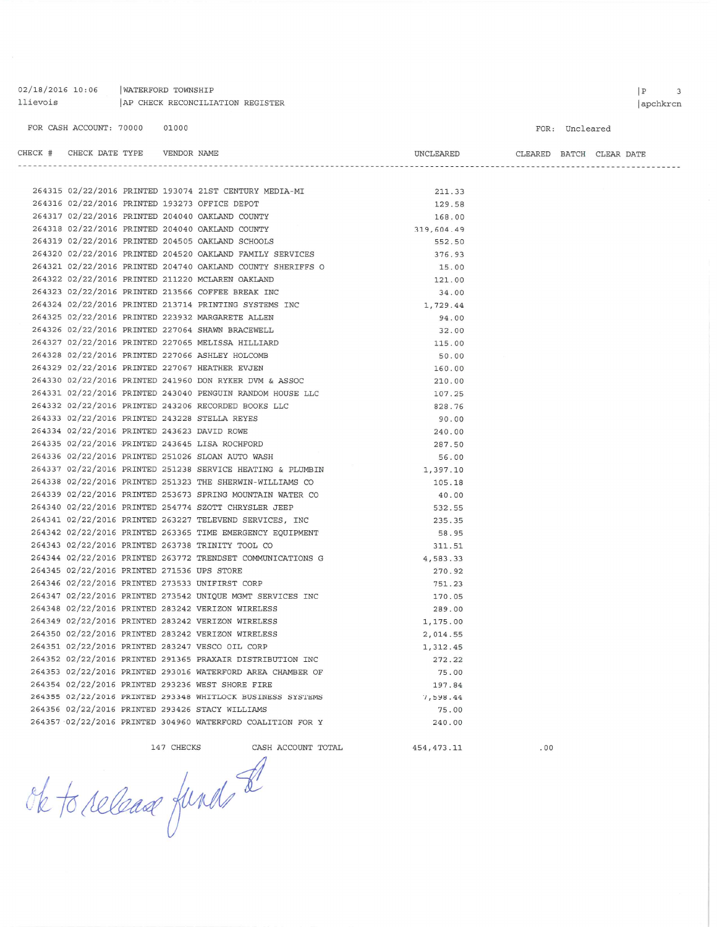02/18/2016 10:06 | WATERFORD TOWNSHIP llievois AP CHECK RECONCILIATION REGISTER

#### FOR: Uncleared

| CHECK # CHECK DATE TYPE    VENDOR NAME      |  |                                                                                                                                                                               | UNCLEARED  |  | CLEARED BATCH CLEAR DATE |
|---------------------------------------------|--|-------------------------------------------------------------------------------------------------------------------------------------------------------------------------------|------------|--|--------------------------|
|                                             |  |                                                                                                                                                                               |            |  |                          |
|                                             |  |                                                                                                                                                                               |            |  |                          |
|                                             |  | 264315 02/22/2016 PRINTED 193074 21ST CENTURY MEDIA-MI<br>264316 02/22/2016 PRINTED 193273 OFFICE DEPOT                                                                       | 211.33     |  |                          |
|                                             |  |                                                                                                                                                                               | 129.58     |  |                          |
|                                             |  | 264317 02/22/2016 PRINTED 204040 OAKLAND COUNTY                                                                                                                               | 168.00     |  |                          |
|                                             |  | 264318 02/22/2016 PRINTED 204040 OAKLAND COUNTY                                                                                                                               | 319,604.49 |  |                          |
|                                             |  | 264319 02/22/2016 PRINTED 204505 OAKLAND SCHOOLS                                                                                                                              | 552.50     |  |                          |
|                                             |  | 264320 02/22/2016 PRINTED 204520 OAKLAND FAMILY SERVICES                                                                                                                      | 376.93     |  |                          |
|                                             |  | 264321 02/22/2016 PRINTED 204740 OAKLAND COUNTY SHERIFFS O                                                                                                                    | 15.00      |  |                          |
|                                             |  | 264322 02/22/2016 PRINTED 211220 MCLAREN OAKLAND                                                                                                                              | 121.00     |  |                          |
|                                             |  | 264323 02/22/2016 PRINTED 213566 COFFEE BREAK INC                                                                                                                             | 34.00      |  |                          |
|                                             |  | 264324 02/22/2016 PRINTED 213714 PRINTING SYSTEMS INC 1,729.44<br>264325 02/22/2016 PRINTED 223932 MARGARETE ALLEN 94.00<br>264326 02/22/2016 PRINTED 227064 SHAWN BRACEWELL. |            |  |                          |
|                                             |  |                                                                                                                                                                               |            |  |                          |
|                                             |  | 264326 02/22/2016 PRINTED 227064 SHAWN BRACEWELL                                                                                                                              | 32.00      |  |                          |
|                                             |  | 264327 02/22/2016 PRINTED 227065 MELISSA HILLIARD                                                                                                                             | 115.00     |  |                          |
|                                             |  | 264328 02/22/2016 PRINTED 227066 ASHLEY HOLCOMB                                                                                                                               | 50.00      |  |                          |
|                                             |  | 264329 02/22/2016 PRINTED 227067 HEATHER EVJEN                                                                                                                                | 160.00     |  |                          |
|                                             |  | 264330 02/22/2016 PRINTED 241960 DON RYKER DVM & ASSOC                                                                                                                        | 210.00     |  |                          |
|                                             |  | 264331 02/22/2016 PRINTED 243040 PENGUIN RANDOM HOUSE LLC                                                                                                                     | 107.25     |  |                          |
|                                             |  | 264332 02/22/2016 PRINTED 243206 RECORDED BOOKS LLC                                                                                                                           | 828.76     |  |                          |
|                                             |  | 264333 02/22/2016 PRINTED 243228 STELLA REYES                                                                                                                                 | 90.00      |  |                          |
| 264334 02/22/2016 PRINTED 243623 DAVID ROWE |  |                                                                                                                                                                               | 240.00     |  |                          |
|                                             |  | 264335 02/22/2016 PRINTED 243645 LISA ROCHFORD                                                                                                                                | 287.50     |  |                          |
|                                             |  | 264336 02/22/2016 PRINTED 251026 SLOAN AUTO WASH                                                                                                                              | 56.00      |  |                          |
|                                             |  | 264337 02/22/2016 PRINTED 251238 SERVICE HEATING & PLUMBIN 1,397.10                                                                                                           |            |  |                          |
|                                             |  | 264338 02/22/2016 PRINTED 251323 THE SHERWIN-WILLIAMS CO                                                                                                                      | 105.18     |  |                          |
|                                             |  | 264339 02/22/2016 PRINTED 253673 SPRING MOUNTAIN WATER CO                                                                                                                     | 40.00      |  |                          |
|                                             |  | 264340 02/22/2016 PRINTED 254774 SZOTT CHRYSLER JEEP                                                                                                                          | 532.55     |  |                          |
|                                             |  | 264341 02/22/2016 PRINTED 263227 TELEVEND SERVICES, INC                                                                                                                       | 235.35     |  |                          |
|                                             |  | 264342 02/22/2016 PRINTED 263365 TIME EMERGENCY EQUIPMENT<br>264343 02/22/2016 PRINTED 263738 TRINITY TOOL CO                                                                 | 58.95      |  |                          |
|                                             |  |                                                                                                                                                                               | 311.51     |  |                          |
|                                             |  | 264344 02/22/2016 PRINTED 263772 TRENDSET COMMUNICATIONS G 4,583.33                                                                                                           |            |  |                          |
| 264345 02/22/2016 PRINTED 271536 UPS STORE  |  |                                                                                                                                                                               | 270.92     |  |                          |
|                                             |  | 264346 02/22/2016 PRINTED 273533 UNIFIRST CORP                                                                                                                                | 751.23     |  |                          |
|                                             |  | 264347 02/22/2016 PRINTED 273542 UNIQUE MGMT SERVICES INC                                                                                                                     | 170.05     |  |                          |
|                                             |  | 264348 02/22/2016 PRINTED 283242 VERIZON WIRELESS                                                                                                                             | 289.00     |  |                          |
|                                             |  | 264349 02/22/2016 PRINTED 283242 VERIZON WIRELESS                                                                                                                             | 1,175.00   |  |                          |
|                                             |  | 264350 02/22/2016 PRINTED 283242 VERIZON WIRELESS                                                                                                                             | 2,014.55   |  |                          |
|                                             |  | 264351 02/22/2016 PRINTED 283247 VESCO OIL CORP                                                                                                                               | 1,312.45   |  |                          |
|                                             |  | 264352 02/22/2016 PRINTED 291365 PRAXAIR DISTRIBUTION INC                                                                                                                     | 272.22     |  |                          |
|                                             |  | 264353 02/22/2016 PRINTED 293016 WATERFORD AREA CHAMBER OF                                                                                                                    | 75.00      |  |                          |
|                                             |  | 264354 02/22/2016 PRINTED 293236 WEST SHORE FIRE                                                                                                                              | 197.84     |  |                          |
|                                             |  | 264355 02/22/2016 PRINTED 293348 WHITLOCK BUSINESS SYSTEMS                                                                                                                    | 7,598.44   |  |                          |

264357 02/22/2016 PRINTED 304960 WATERFORD COALITION FOR Y

147 CHECKS CASH ACCOUNT TOTAL

454, 473.11

75.00

240.00

ok to release functs

264356 02/22/2016 PRINTED 293426 STACY WILLIAMS

 $.00$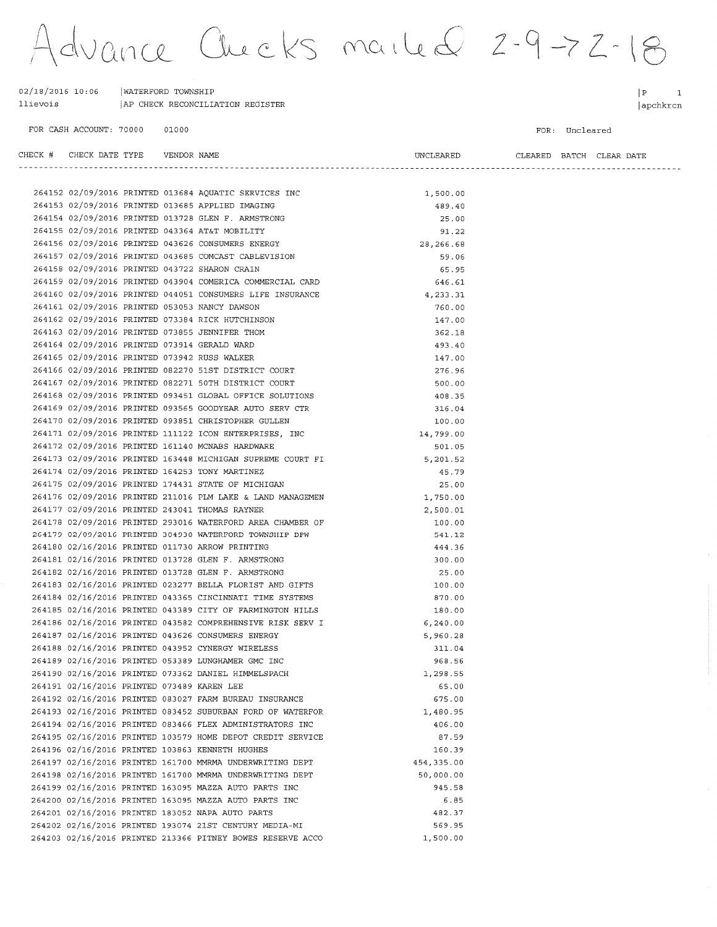Advance Checks mailed 2-9-72-18

| 02/18/2016 10:06 | WATERFORD TOWNSHIP               |
|------------------|----------------------------------|
| llievois         | AP CHECK RECONCILIATION REGISTER |

VENDOR NAME

264202 02/16/2016 PRINTED 193074 21ST CENTURY MEDIA-MI 264203 02/16/2016 PRINTED 213366 PITNEY BOWES RESERVE ACCO

FOR CASH ACCOUNT: 70000 01000  $|P|$  $\overline{\phantom{a}}$ apchkrcn

FOR: Uncleared

| CHECK # CHECK DATE TYPE    VENDOR NAME     |  |                                                            | UNCLEARED   |  | CLEARED BATCH CLEAR DATE |
|--------------------------------------------|--|------------------------------------------------------------|-------------|--|--------------------------|
|                                            |  |                                                            |             |  |                          |
|                                            |  | 264152 02/09/2016 PRINTED 013684 AQUATIC SERVICES INC      | 1,500.00    |  |                          |
|                                            |  | 264153 02/09/2016 PRINTED 013685 APPLIED IMAGING           | 489.40      |  |                          |
|                                            |  | 264154 02/09/2016 PRINTED 013728 GLEN F. ARMSTRONG         | 25.00       |  |                          |
|                                            |  | 264155 02/09/2016 PRINTED 043364 AT&T MOBILITY             | 91.22       |  |                          |
|                                            |  | 264156 02/09/2016 PRINTED 043626 CONSUMERS ENERGY          | 28, 266.68  |  |                          |
|                                            |  | 264157 02/09/2016 PRINTED 043685 COMCAST CABLEVISION       | 59.06       |  |                          |
|                                            |  | 264158 02/09/2016 PRINTED 043722 SHARON CRAIN              | 65.95       |  |                          |
|                                            |  | 264159 02/09/2016 PRINTED 043904 COMERICA COMMERCIAL CARD  | 646.61      |  |                          |
|                                            |  | 264160 02/09/2016 PRINTED 044051 CONSUMERS LIFE INSURANCE  | 4,233.31    |  |                          |
|                                            |  | 264161 02/09/2016 PRINTED 053053 NANCY DAWSON              | 760.00      |  |                          |
|                                            |  | 264162 02/09/2016 PRINTED 073384 RICK HUTCHINSON           | 147.00      |  |                          |
|                                            |  | 264163 02/09/2016 PRINTED 073855 JENNIFER THOM             | 362.18      |  |                          |
|                                            |  | 264164 02/09/2016 PRINTED 073914 GERALD WARD               | 493.40      |  |                          |
|                                            |  | 264165 02/09/2016 PRINTED 073942 RUSS WALKER               | 147.00      |  |                          |
|                                            |  | 264166 02/09/2016 PRINTED 082270 51ST DISTRICT COURT       | 276.96      |  |                          |
|                                            |  | 264167 02/09/2016 PRINTED 082271 50TH DISTRICT COURT       | 500.00      |  |                          |
|                                            |  | 264168 02/09/2016 PRINTED 093451 GLOBAL OFFICE SOLUTIONS   | 408.35      |  |                          |
|                                            |  | 264169 02/09/2016 PRINTED 093565 GOODYEAR AUTO SERV CTR    | 316.04      |  |                          |
|                                            |  | 264170 02/09/2016 PRINTED 093851 CHRISTOPHER GULLEN        | 100.00      |  |                          |
|                                            |  | 264171 02/09/2016 PRINTED 111122 ICON ENTERPRISES, INC     | 14,799.00   |  |                          |
|                                            |  | 264172 02/09/2016 PRINTED 161140 MCNABS HARDWARE           | 501.05      |  |                          |
|                                            |  | 264173 02/09/2016 PRINTED 163448 MICHIGAN SUPREME COURT FI | 5,201.52    |  |                          |
|                                            |  | 264174 02/09/2016 PRINTED 164253 TONY MARTINEZ             | 45.79       |  |                          |
|                                            |  | 264175 02/09/2016 PRINTED 174431 STATE OF MICHIGAN         | 25.00       |  |                          |
|                                            |  | 264176 02/09/2016 PRINTED 211016 PLM LAKE & LAND MANAGEMEN | 1,750.00    |  |                          |
|                                            |  | 264177 02/09/2016 PRINTED 243041 THOMAS RAYNER             | 2,500.01    |  |                          |
|                                            |  | 264178 02/09/2016 PRINTED 293016 WATERFORD AREA CHAMBER OF | 100.00      |  |                          |
|                                            |  | 264179 02/09/2016 PRINTED 304930 WATERFORD TOWNSHIP DPW    | 541.12      |  |                          |
|                                            |  | 264180 02/16/2016 PRINTED 011730 ARROW PRINTING            | 444.36      |  |                          |
|                                            |  | 264181 02/16/2016 PRINTED 013728 GLEN F. ARMSTRONG         | 300.00      |  |                          |
|                                            |  | 264182 02/16/2016 PRINTED 013728 GLEN F. ARMSTRONG         | 25.00       |  |                          |
|                                            |  | 264183 02/16/2016 PRINTED 023277 BELLA FLORIST AND GIFTS   | 100.00      |  |                          |
|                                            |  | 264184 02/16/2016 PRINTED 043365 CINCINNATI TIME SYSTEMS   | 870.00      |  |                          |
|                                            |  | 264185 02/16/2016 PRINTED 043389 CITY OF FARMINGTON HILLS  | 180.00      |  |                          |
|                                            |  | 264186 02/16/2016 PRINTED 043582 COMPREHENSIVE RISK SERV I | 6, 240.00   |  |                          |
|                                            |  | 264187 02/16/2016 PRINTED 043626 CONSUMERS ENERGY          | 5,960.28    |  |                          |
|                                            |  | 264188 02/16/2016 PRINTED 043952 CYNERGY WIRELESS          | 311.04      |  |                          |
|                                            |  | 264189 02/16/2016 PRINTED 053389 LUNGHAMER GMC INC         | 968.56      |  |                          |
|                                            |  | 264190 02/16/2016 PRINTED 073362 DANIEL HIMMELSPACH        | 1,298.55    |  |                          |
| 264191 02/16/2016 PRINTED 073489 KAREN LEE |  |                                                            | 65.00       |  |                          |
|                                            |  | 264192 02/16/2016 PRINTED 083027 FARM BUREAU INSURANCE     | 675.00      |  |                          |
|                                            |  | 264193 02/16/2016 PRINTED 083452 SUBURBAN FORD OF WATERFOR | 1,480.95    |  |                          |
|                                            |  | 264194 02/16/2016 PRINTED 083466 FLEX ADMINISTRATORS INC   | 406.00      |  |                          |
|                                            |  | 264195 02/16/2016 PRINTED 103579 HOME DEPOT CREDIT SERVICE | 87.59       |  |                          |
|                                            |  | 264196 02/16/2016 PRINTED 103863 KENNETH HUGHES            | 160.39      |  |                          |
|                                            |  | 264197 02/16/2016 PRINTED 161700 MMRMA UNDERWRITING DEPT   | 454, 335.00 |  |                          |
|                                            |  | 264198 02/16/2016 PRINTED 161700 MMRMA UNDERWRITING DEPT   | 50,000.00   |  |                          |
|                                            |  | 264199 02/16/2016 PRINTED 163095 MAZZA AUTO PARTS INC      | 945.58      |  |                          |
|                                            |  | 264200 02/16/2016 PRINTED 163095 MAZZA AUTO PARTS INC      | 6.85        |  |                          |
|                                            |  | 264201 02/16/2016 PRINTED 183052 NAPA AUTO PARTS           | 482.37      |  |                          |
|                                            |  |                                                            |             |  |                          |

569.95

1,500.00